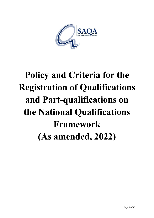

# **Policy and Criteria for the Registration of Qualifications and Part-qualifications on the National Qualifications Framework (As amended, 2022)**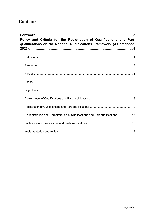# **Contents**

| Policy and Criteria for the Registration of Qualifications and Part-<br>qualifications on the National Qualifications Framework (As amended, |  |
|----------------------------------------------------------------------------------------------------------------------------------------------|--|
|                                                                                                                                              |  |
|                                                                                                                                              |  |
|                                                                                                                                              |  |
|                                                                                                                                              |  |
|                                                                                                                                              |  |
|                                                                                                                                              |  |
|                                                                                                                                              |  |
| Re-registration and Deregistration of Qualifications and Part-qualifications  15                                                             |  |
|                                                                                                                                              |  |
|                                                                                                                                              |  |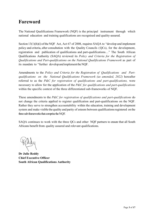# <span id="page-2-0"></span>**Foreword**

The National Qualifications Framework (NQF) is the principal instrument through which national education and training qualifications are recognised and quality-assured.

Section  $13(1)(h)(i)$  of the NQF Act, Act 67 of 2008, requires SAQA to "develop and implement policy and criteria, after consultation with the Quality Councils (QCs), for the development, registration and publication of qualifications and part-qualifications…" The South African Qualifications Authority (SAQA) reviewed its *Policy and Criteria for the Registration of Qualifications and Part-qualifications on the National Qualifications Framework* as part of its mandate to "further developandimplementtheNQF.

Amendments to the *Policy and Criteria for the Registration of Qualifications and Partqualifications on the National Qualifications Framework (as amended, 2022)* hereafter referred to as the *P&C for registration of qualifications and part-qualifications,* were necessary to allow for the application of the *P&C for qualifications and part-qualifications*  within the specific context of the three differentiated sub-frameworks of NQF.

These amendments to the *P&C for registration of qualifications and part-qualifications* do not change the criteria applied to register qualification and part-qualifications on the NQF. Rather they serve to strengthen accountability within the education, training and development system and make visible the quality and parity of esteem between qualifications registered on the three sub-frameworks that comprise the NQF.

SAQA continues to work with the three QCs and other NQF partners to ensure that all South Africans benefit from quality assured and relevant qualifications.

**Dr Julie Reddy Chief Executive Officer South African Qualifications Authority**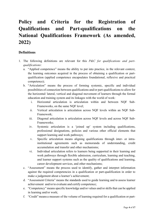# <span id="page-3-0"></span>**Policy and Criteria for the Registration of Qualifications and Part-qualifications on the National Qualifications Framework (As amended, 2022)**

# <span id="page-3-1"></span>**Definitions**

- 1. The following definitions are relevant for this *P&C for qualifications and partqualifications*:
	- a. "Applied competence" means the ability to put into practice, in the relevant context, the learning outcomes acquired in the process of obtaining a qualification or partqualification (applied competence encapsulates foundational, reflexive and practical competence);
	- b. "Articulation" means the process of forming systemic, specific and individual possibilities of connection between qualifications and/or part-qualifications to allow for the horizontal/ lateral, vertical and diagonal movement of learners through the formal education and training system and its linkages with the world of work:
		- i. Horizontal articulation is articulation within and between NQF Sub-Frameworks, on the same NQF level;
		- ii. Vertical articulation is articulation across NQF levels within an NQF Sub-Framework;
		- iii. Diagonal articulation is articulation across NQF levels and across NQF Sub-Frameworks;
		- iv. Systemic articulation is a 'joined up' system including qualifications, professional designations, policies and various other official elements that support learning and work pathways;
		- v. Specific articulation means aligning qualifications through inter- or intrainstitutional agreements such as memoranda of understanding, credit accumulation and transfer and other mechanisms;
		- vi. Individual articulation refers to learners being supported in their learning and work pathways through flexible admission, curriculum, learning and teaching, and learner support systems such as the quality of qualifications and learning, career development services, and other mechanisms;
	- c. "Assessment" means the process used to identify, gather and interpret information against the required competencies in a qualification or part-qualification in order to make a judgement about a learner's achievement;
	- d. "Assessment Criteria" means the standards used to guide learning and to assess learner achievement and/or to evaluate and certify competence;
	- e. "Competency" means specific knowledge and/or values and/or skills that can be applied in learning and/or work;
	- f. "Credit"means a measure of the volume of learning required for a qualification or part-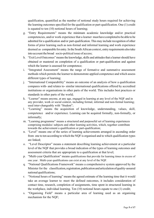qualification, quantified as the number of notional study hours required for achieving the learning outcomes specified for the qualification or part-qualification. One (1) credit is equated to ten (10) notional hours of learning;

- g. "Entry Requirements" means the minimum academic knowledge and/or practical competencies, and/or work experience that a learner musthave completed to be able to be admitted for a qualification and/or part-qualification. This may include recognition of other forms of prior learning such as non-formal and informal learning and work experience deemed as comparable for entry. In the South African context, entry requirements also take into account the broad socio-political issue of access;
- h. "ExitLevelOutcomes"means the knowledge, skills and attitudes that a learner should have obtained or mastered on completion of a qualification or part-qualification and against which the learner is assessed for competence;
- i. "Integrated Assessment" means the range of formative and summative assessment methods which permits the learner to demonstrate applied competence and which assess different types of learning;
- j. "International Comparability" means an outcome of an analysis of how a qualification compares with- and relates to- similar international qualifications offered by accredited institutions or organisations in other parts of the world. This includes best practices or standards in other parts of the world;
- k. "Learner" means anyone, at any age, engaged in learning at any level of the NQF and in any provider, work or social context, including formal, informal and non-formal learning; used inter-changeably with "Student";
- l. "Learning" means the acquisition of knowledge, understanding, values, skill, competence and/or experience. Learning can be acquired formally, non-formally, or informally;
- m. "Learning programme" means a structured and purposeful set of learning experiences comprising modules/ subjects and other learning activities, which, together contribute towards the achievement a qualification or part-qualification;
- n. "Level" means one of the series of learning achievements arranged in ascending order from one to ten according to which the NQF is organised and to which qualification types are linked;
- o. "Level Descriptor" means a statement describing learning achievement at a particular level of the NQF that provides a broad indication of the types of learning outcomes and assessment criteria that are appropriate to a qualification at that level;
- p. "Multi-year Qualification" means qualifications that provide for learning times in excess of one year . Multi-year qualifications can exist at any level of the NQF.
- q. "National Qualifications Framework" means a comprehensive system approved by the Minister for the classification, registration, publication and articulation of quality-assured nationalqualifications;
- r. "Notional hours of learning" means the agreed estimate of the learning time that it would take an average learner to meet the defined outcomes, it includes consideration of contact time, research, completion of assignments, time spent in structured learning in the workplace, individual learning. Ten (10) notional hours equate to one (1) credit;
- s. "Organising Field" means a particular area of learning used as an organising mechanism for the NQF;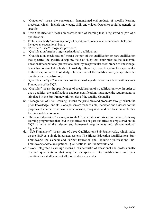- t. "Outcomes" means the contextually demonstrated end-products of specific learning processes, which include knowledge, skills and values. Outcomes could be generic or specific;
- u. "Part-Qualification" means an assessed unit of learning that is registered as part of a qualification;
- v. Professional body" means any body of expert practitioners in an occupational field, and includes an occupational body;
- w. "Provider" see "Recognised provider";
- x. "Qualification"means a registered national qualification;
- y. "Qualification specialisation" means the part of the qualification or part-qualification that specifies the specific discipline/ field of study that contributes to the academic/ vocational/occupational/professional identity in a particular area/ branch of knowledge. Specialisations include a body of knowledge, theories, concepts and methods particular to the discipline or field of study. The qualifier of the qualification type specifies the qualification specialisation;
- z. "Qualification Type" means the classification of a qualification on a level within a Sub-Framework of the NOF:
- aa. "Qualifier" means the specific area of specialisation of a qualification type. In order to use a qualifier, the qualifications and part-qualifications must meet the requirements as stipulated in the Sub-Framework Policies of the Quality Councils;
- bb. "Recognition of Prior Learning" means the principles and processes through which the prior knowledge and skills of a person are made visible, mediated and assessed for the purposes of alternative access and admission, recognition and certification, or further learning and development;
- cc. "Recognised provider" means, in South Africa, a public or private entity that offers any learning programmes that lead to qualifications or part-qualifications registered on the NQF in terms of the relevant sub framework requirements and relevant national legislation;
- dd. "Sub-Framework" means one of three Qualifications Sub-Frameworks, which make up the NQF as a single integrated system: The Higher Education Qualifications Sub-Framework; the General and Further Education and Training Qualifications Sub-Framework;andtheOccupationalQualificationsSub-Framework; and
- ee. "Work Integrated Learning" means a characteristic of vocational and professionally oriented qualifications that may be incorporated into qualifications and partqualifications at all levels of all three Sub-Frameworks.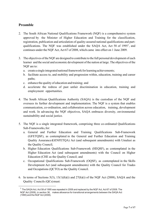# <span id="page-6-0"></span>**Preamble**

- 2. The South African National Qualifications Framework (NQF) is a comprehensive system approved by the Minister of Higher Education and Training for the classification, registration, publication and articulation of quality-assured national qualifications and part-qualifications. The NQF was established under the SAQA Act, Act 58 of [1](#page-6-1)995<sup>1</sup>, and continues under the NQF Act, Act 67 of 2008, which came into effect on 1 June 2009.
- 3. The objectives ofthe NQF are designed to contribute to the full personal development of each learner and the social and economic development of the nation at large. The objectives of the NQF are to:
	- a. create a single integrated national framework for learning achievements;
	- b. facilitate access to, and mobility and progression within, education, training and career paths;
	- c. enhance the quality of education and training; and
	- d. accelerate the redress of past unfair discrimination in education, training and employment opportunities.
- 4. The South African Qualifications Authority (SAQA) is the custodian of the NQF and oversees its further development and implementation. The NQF is a system that enables communication, co-ordination, and collaboration across education, training, development and work. In advancing the NQF objectives, SAQA embraces diversity, environmental sustainability and social justice.
- 5. The NQF is a single integrated framework, comprising three co-ordinated Qualifications Sub-Frameworks,for:
	- a. General and Further Education and Training Qualifications Sub-Framework (GFETQSF), as contemplated in the General and Further Education and Training Quality Assurance (GENFETQA) Act (and subsequent amendments) with Umalusi as the Quality Council;
	- b. Higher Education Qualifications Sub-Framework (HEQSF), as contemplated in the Higher Education Act (and subsequent amendments) with the Council on Higher Education (CHE as the Quality Council; and
	- c. Occupational Qualifications Sub-Framework (OQSF), as contemplated in the Skills Development Act (and subsequent amendments) with the Quality Council for Trades and Occupations (QCTO) as the Quality Council.
- 6. In terms of Sections 5(3), 13(1)(h)(i) and 27(h)(i) of the NQF Act (2008), SAQA and the Quality Councils (QCs)must:

<span id="page-6-1"></span> $^{\rm 1}$  The SAQA Act, Act 58 of 1995 was repealed in 2008 and replaced by the NQF Act, Act 67 of 2008. The NQF Act (2008), in section 36, makes allowance for transitional arrangements between the SAQA Act (1995) and the NQF Act (2008).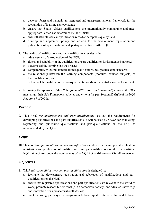- a. develop, foster and maintain an integrated and transparent national framework for the recognition of learning achievements;
- b. ensure that South African qualifications are internationally comparable and meet appropriate criteria as determined by the Minister;
- c. ensure that South African qualifications are of an acceptable quality; and
- d. develop and implement policy and criteria for the development, registration and publication of qualifications and part-qualificationsontheNQF.
- 7. The quality of qualifications and part-qualificationsresidesin the:
	- a. advancement of the objectives of the NQF;
	- b. fitness and suitability of the qualification or part-qualification for its intended purpose;
	- c. outcomes of the learning that took place;
	- d. comparability with similar international qualifications, best practices and standards;
	- e. the relationship between the learning components (modules, courses, subjects) of the qualification; and
	- f. deliveryofthequalification or part-qualificationandassessmentoflearner achievement.
- 8. Following the approval of this *P&C for qualifications and part-qualifications*, the QCs must align their Sub-Framework policies and criteria (as per Section 27 (h)(i) of the NQF Act, Act 67 of 2008).

## <span id="page-7-0"></span>**Purpose**

9. This *P&C for qualifications and part-qualifications* sets out the requirements for developing qualifications and part-qualifications. It will be used by SAQA for evaluating, registering and publishing qualifications and part-qualifications on the NQF as recommended by the QCs.

#### <span id="page-7-1"></span>**Scope**

10. This*P&C for qualifications and part-qualifications* appliesto the development, evaluation, registration and publication of qualifications and part-qualifications on the South African NQF, taking into account the requirements of the NQF Act and the relevant Sub-Frameworks.

# <span id="page-7-2"></span>**Objectives**

- 11. This *P&C for qualifications and part-qualifications* is designed to:
	- a. facilitate the development, registration and publication of qualifications and partqualifications on the NQF;
	- b. ensure that registered qualifications and part-qualifications are relevant to the world of work, promote responsible citizenship in a democratic society, and advance knowledge and innovation for a prosperous South Africa;
	- c. create learning pathways for progression between qualifications within and between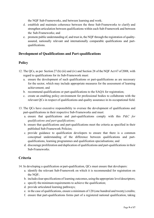the NQF Sub-Frameworks, and between learning and work;

- d. establish and maintain coherence between the three Sub-Frameworks to clarify and strengthen articulation between qualifications within each Sub-Framework and between the Sub-Frameworks; and
- e. promote public understanding of, and trust in, the NQF through the registration of qualityassured, nationally relevant and internationally comparable qualifications and partqualifications.

# <span id="page-8-0"></span>**Development of Qualifications and Part-qualifications**

# **Policy**

- 12. The QCs, as per Section 27 (h) (iii) and (iv) and Section 28 of the NQF Act 67 of 2008, with regard to qualifications for its Sub-Framework must:
	- a. ensure the development of such qualifications or part-qualifications as are necessary for the sector, which may include appropriate measures for the assessment of learning achievement; and
	- b. recommend qualifications or part-qualifications to the SAQA for registration;
	- c. create an enabling policy environment for professional bodies to collaborate with the relevant QCs in respect of qualifications and quality assurance in its occupational field.
- 13. The QCs have executive responsibility to oversee the development of qualifications and part-qualifications in their respective Sub-Frameworks and must:
	- a. ensure that qualifications and part-qualifications comply with this *P&C for qualifications and part-qualifications;*
	- b. ensure that qualifications and part-qualifications meet the criteria as specified in their published Sub-Framework Policies;
	- c. provide guidance to qualification developers to ensure that there is a common conceptual understanding of the difference between qualifications and partqualifications, learning programmes and qualification specialisations; and
	- d. discourage proliferation and duplication of qualifications and part-qualifications in their Sub-Frameworks.

# **Criteria**

- 14. In developing a qualification or part-qualification, QCs must ensure that developers:
	- a. identify the relevant Sub-Framework on which it is recommended for registration on the NQF;
	- b. include clearspecifications of learning outcomes, using the appropriate level descriptors;
	- c. specify the minimum requirements to achieve the qualification;
	- d. provide articulated learning pathways;
	- e. in the case of qualifications, ensure a minimum of 120 (one hundred and twenty) credits;
	- f. ensure that part-qualifications forms part of a registered national qualification, taking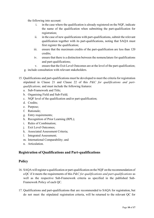the following into account:

- i. in the case where the qualification is already registered on the NQF, indicate the name of the qualification when submitting the part-qualification for registration;
- ii. in the case of new qualifications with part-qualifications, submit the relevant qualification together with its part-qualifications, noting that SAQA must first register the qualification;
- iii. ensure that the maximum credits of the part-qualification are less than 120 credits;
- iv. ensure that there is a distinction between the nomenclature for qualifications and part-qualifications;
- v. ensure that the Exit Level Outcomes are at the level of the part-qualification;
- g. include consultation with relevant stakeholders.
- 15. Qualifications and part-qualifications must be developed to meet the criteria for registration stipulated in Clause 21 and Clause 22 of this *P&C for qualifications and partqualifications,* and must include the following features:
	- a. Sub-Framework and Title;
	- b. Organising Field and Sub-Field;
	- c. NQF level of the qualification and/or part-qualification;
	- d. Credits;
	- e. Purpose;
	- f. Rationale;
	- g. Entry requirements;
	- h. Recognition of Prior Learning (RPL);
	- i. Rules of Combination;
	- j. Exit Level Outcomes;
	- k. Associated Assessment Criteria;
	- l. Integrated Assessment;
	- m. International Comparability; and
	- n. Articulation.

#### <span id="page-9-0"></span>**Registration of Qualifications and Part-qualifications**

#### **Policy**

- 16. SAQA willregister a qualification or part-qualification on the NQF on the recommendation of a QC if it meets the requirements of this *P&C for qualifications and part-qualifications* as well as the respective Sub-Framework criteria as specified in the published Sub-Framework Policy of each QC.
- 17. Qualifications and part-qualifications that are recommended to SAQA for registration, but do not meet the stipulated registration criteria, will be returned to the relevant QC for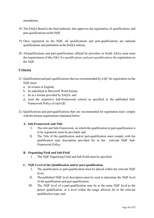amendment.

- 18. The SAQA Board is the final authority that approves the registration of qualifications and part-qualifications on the NQF.
- 19. Once registered on the NQF, all qualifications and part-qualifications are national qualifications and published on the SAQA website.
- 20. All qualifications and part-qualifications offered by providers in South Africa must meet the requirements of this *P&C for qualifications and part-qualifications* for registration on the NQF.

# **Criteria**

- 21. Qualifications and part-qualifications that are recommended by a QC for registration on the NQF must:
	- a. bewritten in English;
	- b. be submitted in Microsoft Word format;
	- c. be in a format provided by SAQA; and
	- d. meet the respective Sub-Framework criteria as specified in the published Sub-Framework Policy of each QC.
- 22. Qualifications and part-qualifications that are recommended for registration must comply with the format requirements stipulated below:

#### **A. Sub-Framework and Title**

- I. The relevant Sub-Framework, on which the qualification or part-qualification is to be registered, must be provided; and
- II. The Title of the qualification and/or part-qualification must comply with the qualification type description provided for in the relevant NQF Sub-Framework Policy.

#### **B. Organising Field and Sub-Field**

I. The NQF Organising Field and Sub-Field must be specified.

#### **C. NQF Level of the Qualification and/or part-qualification**

- I. The qualification or part-qualification must be placed within the relevant NQF level;
- II. The published NQF level descriptors must be used to determine the NQF level of the qualification and part-qualification;
- III. The NQF level of a part-qualification may be at the same NQF level as the parent qualification, or a level within the range allowed for in the relevant qualification type; and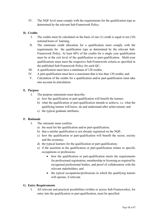IV. The NQF level must comply with the requirements for the qualification type as determined by the relevant Sub-Framework Policy.

#### **D. Credits**

- I. The credits must be calculated on the basis of one (1) credit is equal to ten (10) notional hours of learning;
- II. The minimum credit allocation for a qualification must comply with the requirements for the qualification type as determined by the relevant Sub-Framework Policy. At least 60% of the credits for a single year qualification must be at the exit level of the qualification or part-qualification. Multi-year qualifications must meet the respective Sub-Framework criteria as specified in the published Sub-Framework Policy for each QC;
- III. A qualification must have a minimum of 120 credits;
- IV. A part-qualification must have a maximum that is less than 120 credits; and
- V. Calculation of the credits for a qualification and/or part-qualification must take into account its articulation.

#### **E. Purpose**

- I. The purpose statements must describe:
	- a) how the qualification or part-qualification will benefit the learner;
	- b) what the qualification or part-qualification intends to achieve, i.e. what the qualifying learner will know, do and understand after achievement; and
	- c) the typical graduate attributes.

#### **F. Rationale**

- I. The rationale must confirm:
	- a) the need for the qualification and/or part-qualification;
	- b) that a similar qualification is not already registered on the NQF;
	- c) how the qualification or part-qualification will benefit the sector, society and the economy;
	- d) the typical learners for the qualification or part-qualification;
	- e) if the assertion in the qualification or part-qualification relates to specific occupations or professions:
		- how the qualification or part-qualification meets the requirements for professional registration, membership or licensing as required by recognised professional bodies, and proof of collaboration with the relevant stakeholders; and
		- the typical occupations/professions in which the qualifying learner will operate, if relevant.

#### **G. Entry Requirements**

I. All relevant and practical possibilities (within or across Sub-Frameworks), for entry into the qualification or part-qualification, must be specified.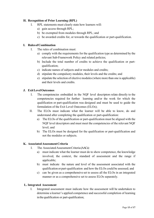#### **H. Recognition of Prior Learning (RPL)**

- I. RPL statements must clearly state how learners will:
	- a) gain access through RPL;
	- b) be exempted from modules through RPL; and
	- c) be awarded credits for, or towards the qualification or part-qualification.

#### **I. RulesofCombination**

- I. The rules of combination must:
	- a) comply with the requirements for the qualification type as determined by the relevant Sub-Framework Policy and related policies;
	- b) Include the total number of credits to achieve the qualification or partqualification;
	- c) indicate names of subjects and/or modules and credits;
	- d) stipulate the compulsory modules, their levels and the credits; and
	- e) stipulate the selection of elective modules(where more than one is applicable) and their levels and credits.

#### **J. ExitLevelOutcomes**

- I. The competencies embedded in the NQF level descriptors relate directly to the competencies required for further learning and/or the work for which the qualification or part-qualification was designed and must be used to guide the formulation of the Exit Level Outcomes (ELOs);
- II. The ELOs must indicate what the learner will be able to know, do and understand after completing the qualification or part-qualification:
	- a) The ELOs of the qualification or part-qualification must be aligned with the NQF level descriptors and must meet the competencies of the relevant NQF level; and
	- b) The ELOs must be designed for the qualification or part-qualification and not the modules or subjects.

#### **K. AssociatedAssessmentCriteria**

- I. The Associated Assessment Criteria (AACs):
	- a) must indicate what the learner must do to show competence, the knowledge involved, the context, the standard of assessment and the range if applicable;
	- b) must indicate the nature and level of the assessment associated with the qualification or part-qualification and how the ELOs could be assessed; and
	- c) can be given as a comprehensive set to assess all the ELOs in an integrated manner or as a comprehensive set to assess ELOs separately.

#### **L. Integrated Assessment**

I. Integrated assessment must indicate how the assessment will be undertaken to determine a learner's applied competence and successful completion of learning inthequalification or part-qualification;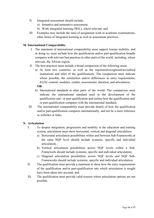- II. Integrated assessment should include:
	- a) formative and summative assessment;
	- b) Work integrated learning (WIL), where relevant; and
- III. Examples may include the ratio of assignment work to academic examinations, other forms of integrated learning as well as assessment practices.

#### **M. International Comparability**

- I. The statement of international comparability must support learner mobility, and in doing so, must include how the qualification and/or part-qualification broadly compares with relevant best practices in other parts of the world, including, where relevant, the African region;
- II. The best practices must include a broad comparison of the following areas:
	- a) At least two countries, as well as the registered/recognised/accredited institutions and titles of the qualifications: The comparison must indicate where possible, the similarities and/or differences in entry requirements; ELOs/ content/ modules; credits; assessments; duration; and articulation;

**OR**

- b) International standards in other parts of the world: The comparison must indicate the international standard used in the development of the qualification and / or part-qualification and outline how the qualification and/ or part-qualification compares with the international standard;
- III. The international comparability must provide details of how the qualification and/or part-qualification compares internationally, and not be a mere reference to websites or links.

#### **N. Articulation**

- I. To deepen integration, progression and mobility in the education and training system, articulation must show horizontal, vertical and diagonal articulation:
	- a) Horizontal articulation possibilities within and between Sub-Frameworks at the same NQF level should include systemic, specific and individual articulation;
	- b) Vertical articulation possibilities across NQF levels within a Sub-Framework should include systemic, specific and individual articulation;
	- c) Diagonal articulation possibilities across NQF levels and NQF Sub-Frameworks should include systemic, specific and individual articulation;
- II. The qualification must provide a statement to show how the entry requirements of the qualification and/or part-qualification into which articulation is sought have been taken into account; and
- III. The qualification must provide valid reasons where articulation options are not possible.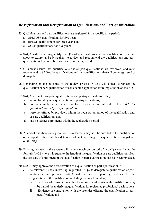# <span id="page-14-0"></span>**Re-registration and Deregistration of Qualifications and Part-qualifications**

- 23. Qualifications and part-qualifications are registered for a specific time period:
	- a. GFETQSF qualifications for five years;
	- b. HEQSF qualifications for three years; and
	- c. OQSF qualifications for five years.
- 24. SAQA will, in writing, notify the QCs of qualifications and part-qualifications that are about to expire, and advise them to review and recommend the qualifications and partqualifications that must be re-registered or deregistered.
- 25. QCs must ensure that qualifications and/or part-qualifications are reviewed, and must recommend to SAQA, the qualifications and part-qualifications thatwill be re-registered or de-registered.
- 26. Depending on the outcome of the review process, SAQA will either de-register the qualification or part-qualification or consider the application for re-registration on the NQF.
- 27. SAQA will not re-register qualifications and part-qualifications if they:
	- a. are replaced by new qualifications or part-qualifications;
	- b. do not comply with the criteria for registration as outlined in this *P&C for qualifications and part-qualifications*;
	- c. were not offered by providers within the registration period of the qualification and/ or part-qualification; and
	- d. had no learner enrolments within the registration period.
- 28. At end of qualification registration, new learners may still be enrolled in the qualification or part-qualification until last date of enrolment according to the qualification as registered on the NQF.
- 29. Existing learners in the system will have a teach-out period of two (2) years (using the formula [n+2] where n is equal to the length of the qualification or part-qualification) from the last date of enrollment of the qualification or part-qualification that has been replaced.
- 30. SAQA may approve the deregistration of a qualification or part-qualification if:
	- a. The relevant QC has, in writing, requested SAQA to deregister a qualification or partqualification and provided SAQA with sufficient supporting evidence for the deregistration of the qualification including, but not limited to:
		- i. Evidence of consultation with relevant stakeholders where the qualification may be part of the underlying qualifications for registered professional designations;
		- ii. Evidence of consultation with the provider offering the qualification or partqualification; and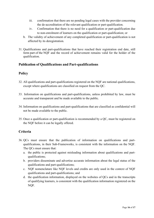- iii. confirmation that there are no pending legal cases with the provider concerning the de-accreditation of the relevant qualification or part-qualification.
- iv. Confirmation that there is no need for a qualification or part-qualification due to non-enrolment of learners on the qualification or part-qualification; or
- b. The validity of achievement of any completed qualification or part-qualification is not affected by its deregistration.
- 31. Qualifications and part-qualifications that have reached their registration end date, still form part of the NQF and the record of achievement remains valid for the holder of the qualification.

## <span id="page-15-0"></span>**Publication of Qualifications and Part-qualifications**

# **Policy**

- 32. All qualifications and part-qualifications registered on the NQF are national qualifications, except where qualifications are classified on request from the QC.
- 33. Information on qualifications and part-qualifications, unless prohibited by law, must be accurate and transparent and be made available to the public.
- 34. Information on qualifications and part-qualifications that are classified as confidential will not be made available to the public.
- 35. Once a qualification or part-qualification is recommended by a QC, must be registered on the NQF before it can be legally offered.

# **Criteria**

- 36. QCs must ensure that the publication of information on qualifications and partqualifications, in their Sub-Frameworks, is consistent with the information on the NQF. The QCs must ensure that:
	- a. the public is protected against misleading information about qualifications and partqualifications;
	- b. providers disseminate and advertise accurate information about the legal status of the qualifications and part-qualifications;
	- c. NQF nomenclature like NQF levels and credits are only used in the context of NQF qualifications and part-qualifications; and
	- d. the qualification information, displayed on the websites of QCs and in the transcripts of qualifying learners, is consistent with the qualification information registered on the NQF.